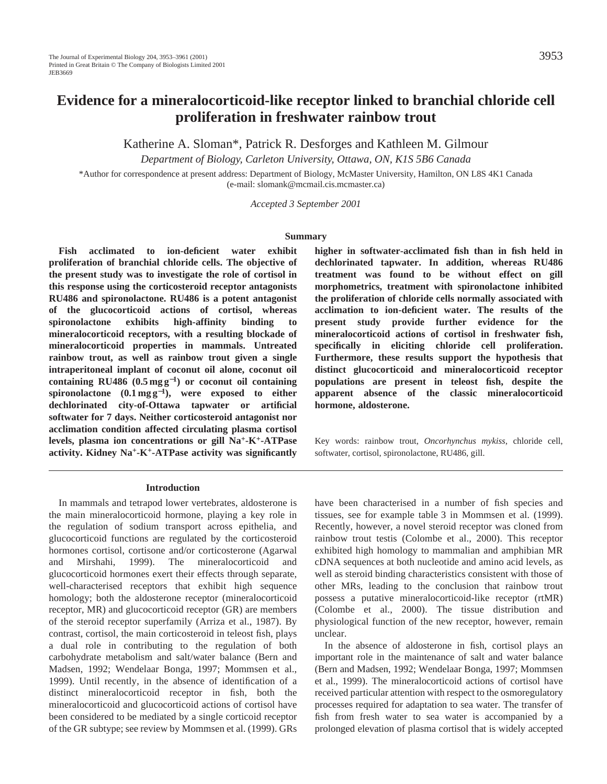# **Evidence for a mineralocorticoid-like receptor linked to branchial chloride cell proliferation in freshwater rainbow trout**

Katherine A. Sloman\*, Patrick R. Desforges and Kathleen M. Gilmour

*Department of Biology, Carleton University, Ottawa, ON, K1S 5B6 Canada*

\*Author for correspondence at present address: Department of Biology, McMaster University, Hamilton, ON L8S 4K1 Canada (e-mail: slomank@mcmail.cis.mcmaster.ca)

*Accepted 3 September 2001* 

#### **Summary**

**Fish acclimated to ion-deficient water exhibit proliferation of branchial chloride cells. The objective of the present study was to investigate the role of cortisol in this response using the corticosteroid receptor antagonists RU486 and spironolactone. RU486 is a potent antagonist of the glucocorticoid actions of cortisol, whereas spironolactone exhibits high-affinity binding to mineralocorticoid receptors, with a resulting blockade of mineralocorticoid properties in mammals. Untreated rainbow trout, as well as rainbow trout given a single intraperitoneal implant of coconut oil alone, coconut oil containing RU486 (0.5 mg g**<sup>−</sup>**1) or coconut oil containing spironolactone (0.1 mg g**<sup>−</sup>**1), were exposed to either dechlorinated city-of-Ottawa tapwater or artificial softwater for 7 days. Neither corticosteroid antagonist nor acclimation condition affected circulating plasma cortisol levels, plasma ion concentrations or gill Na+-K+-ATPase activity. Kidney Na+-K+-ATPase activity was significantly**

#### **Introduction**

In mammals and tetrapod lower vertebrates, aldosterone is the main mineralocorticoid hormone, playing a key role in the regulation of sodium transport across epithelia, and glucocorticoid functions are regulated by the corticosteroid hormones cortisol, cortisone and/or corticosterone (Agarwal and Mirshahi, 1999). The mineralocorticoid and glucocorticoid hormones exert their effects through separate, well-characterised receptors that exhibit high sequence homology; both the aldosterone receptor (mineralocorticoid receptor, MR) and glucocorticoid receptor (GR) are members of the steroid receptor superfamily (Arriza et al., 1987). By contrast, cortisol, the main corticosteroid in teleost fish, plays a dual role in contributing to the regulation of both carbohydrate metabolism and salt/water balance (Bern and Madsen, 1992; Wendelaar Bonga, 1997; Mommsen et al., 1999). Until recently, in the absence of identification of a distinct mineralocorticoid receptor in fish, both the mineralocorticoid and glucocorticoid actions of cortisol have been considered to be mediated by a single corticoid receptor of the GR subtype; see review by Mommsen et al. (1999). GRs **higher in softwater-acclimated fish than in fish held in dechlorinated tapwater. In addition, whereas RU486 treatment was found to be without effect on gill morphometrics, treatment with spironolactone inhibited the proliferation of chloride cells normally associated with acclimation to ion-deficient water. The results of the present study provide further evidence for the mineralocorticoid actions of cortisol in freshwater fish, specifically in eliciting chloride cell proliferation. Furthermore, these results support the hypothesis that distinct glucocorticoid and mineralocorticoid receptor populations are present in teleost fish, despite the apparent absence of the classic mineralocorticoid hormone, aldosterone.**

Key words: rainbow trout, *Oncorhynchus mykiss*, chloride cell, softwater, cortisol, spironolactone, RU486, gill.

have been characterised in a number of fish species and tissues, see for example table 3 in Mommsen et al. (1999). Recently, however, a novel steroid receptor was cloned from rainbow trout testis (Colombe et al., 2000). This receptor exhibited high homology to mammalian and amphibian MR cDNA sequences at both nucleotide and amino acid levels, as well as steroid binding characteristics consistent with those of other MRs, leading to the conclusion that rainbow trout possess a putative mineralocorticoid-like receptor (rtMR) (Colombe et al., 2000). The tissue distribution and physiological function of the new receptor, however, remain unclear.

In the absence of aldosterone in fish, cortisol plays an important role in the maintenance of salt and water balance (Bern and Madsen, 1992; Wendelaar Bonga, 1997; Mommsen et al., 1999). The mineralocorticoid actions of cortisol have received particular attention with respect to the osmoregulatory processes required for adaptation to sea water. The transfer of fish from fresh water to sea water is accompanied by a prolonged elevation of plasma cortisol that is widely accepted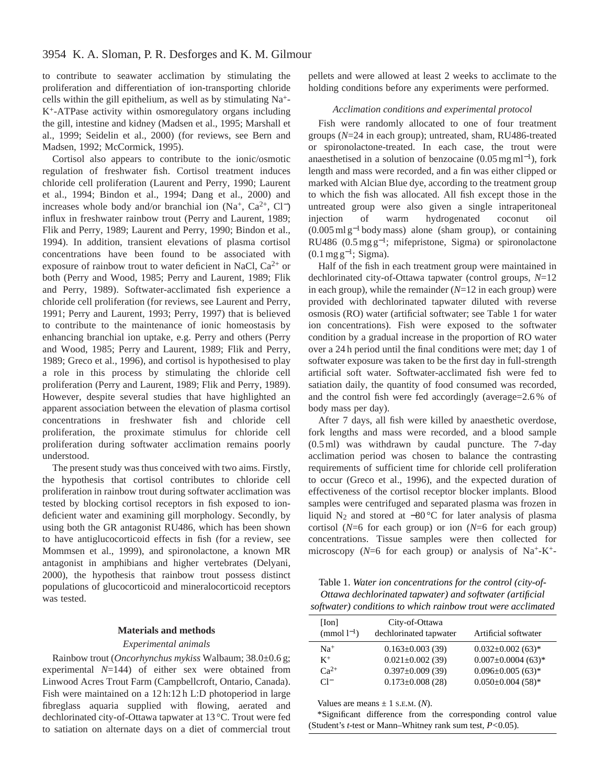to contribute to seawater acclimation by stimulating the proliferation and differentiation of ion-transporting chloride cells within the gill epithelium, as well as by stimulating Na+- K+-ATPase activity within osmoregulatory organs including the gill, intestine and kidney (Madsen et al., 1995; Marshall et al., 1999; Seidelin et al., 2000) (for reviews, see Bern and Madsen, 1992; McCormick, 1995).

Cortisol also appears to contribute to the ionic/osmotic regulation of freshwater fish. Cortisol treatment induces chloride cell proliferation (Laurent and Perry, 1990; Laurent et al., 1994; Bindon et al., 1994; Dang et al., 2000) and increases whole body and/or branchial ion (Na<sup>+</sup>, Ca<sup>2+</sup>, Cl<sup>−</sup>) influx in freshwater rainbow trout (Perry and Laurent, 1989; Flik and Perry, 1989; Laurent and Perry, 1990; Bindon et al., 1994). In addition, transient elevations of plasma cortisol concentrations have been found to be associated with exposure of rainbow trout to water deficient in NaCl,  $Ca^{2+}$  or both (Perry and Wood, 1985; Perry and Laurent, 1989; Flik and Perry, 1989). Softwater-acclimated fish experience a chloride cell proliferation (for reviews, see Laurent and Perry, 1991; Perry and Laurent, 1993; Perry, 1997) that is believed to contribute to the maintenance of ionic homeostasis by enhancing branchial ion uptake, e.g. Perry and others (Perry and Wood, 1985; Perry and Laurent, 1989; Flik and Perry, 1989; Greco et al., 1996), and cortisol is hypothesised to play a role in this process by stimulating the chloride cell proliferation (Perry and Laurent, 1989; Flik and Perry, 1989). However, despite several studies that have highlighted an apparent association between the elevation of plasma cortisol concentrations in freshwater fish and chloride cell proliferation, the proximate stimulus for chloride cell proliferation during softwater acclimation remains poorly understood.

The present study was thus conceived with two aims. Firstly, the hypothesis that cortisol contributes to chloride cell proliferation in rainbow trout during softwater acclimation was tested by blocking cortisol receptors in fish exposed to iondeficient water and examining gill morphology. Secondly, by using both the GR antagonist RU486, which has been shown to have antiglucocorticoid effects in fish (for a review, see Mommsen et al., 1999), and spironolactone, a known MR antagonist in amphibians and higher vertebrates (Delyani, 2000), the hypothesis that rainbow trout possess distinct populations of glucocorticoid and mineralocorticoid receptors was tested.

### **Materials and methods**

#### *Experimental animals*

Rainbow trout (*Oncorhynchus mykiss* Walbaum; 38.0±0.6 g; experimental *N*=144) of either sex were obtained from Linwood Acres Trout Farm (Campbellcroft, Ontario, Canada). Fish were maintained on a 12 h:12 h L:D photoperiod in large fibreglass aquaria supplied with flowing, aerated and dechlorinated city-of-Ottawa tapwater at 13 °C. Trout were fed to satiation on alternate days on a diet of commercial trout

pellets and were allowed at least 2 weeks to acclimate to the holding conditions before any experiments were performed.

## *Acclimation conditions and experimental protocol*

Fish were randomly allocated to one of four treatment groups (*N*=24 in each group); untreated, sham, RU486-treated or spironolactone-treated. In each case, the trout were anaesthetised in a solution of benzocaine  $(0.05 \,\text{mg}\,\text{ml}^{-1})$ , fork length and mass were recorded, and a fin was either clipped or marked with Alcian Blue dye, according to the treatment group to which the fish was allocated. All fish except those in the untreated group were also given a single intraperitoneal injection of warm hydrogenated coconut oil  $(0.005 \text{ ml g}^{-1}$  body mass) alone (sham group), or containing RU486 (0.5 mg g<sup>-1</sup>; mifepristone, Sigma) or spironolactone  $(0.1 \,\text{mg}\,\text{g}^{-1}; \,\text{Sigma}).$ 

Half of the fish in each treatment group were maintained in dechlorinated city-of-Ottawa tapwater (control groups, *N*=12 in each group), while the remainder (*N*=12 in each group) were provided with dechlorinated tapwater diluted with reverse osmosis (RO) water (artificial softwater; see Table 1 for water ion concentrations). Fish were exposed to the softwater condition by a gradual increase in the proportion of RO water over a 24 h period until the final conditions were met; day 1 of softwater exposure was taken to be the first day in full-strength artificial soft water. Softwater-acclimated fish were fed to satiation daily, the quantity of food consumed was recorded, and the control fish were fed accordingly (average=2.6 % of body mass per day).

After 7 days, all fish were killed by anaesthetic overdose, fork lengths and mass were recorded, and a blood sample (0.5 ml) was withdrawn by caudal puncture. The 7-day acclimation period was chosen to balance the contrasting requirements of sufficient time for chloride cell proliferation to occur (Greco et al., 1996), and the expected duration of effectiveness of the cortisol receptor blocker implants. Blood samples were centrifuged and separated plasma was frozen in liquid N2 and stored at −80 °C for later analysis of plasma cortisol (*N*=6 for each group) or ion (*N*=6 for each group) concentrations. Tissue samples were then collected for microscopy ( $N=6$  for each group) or analysis of Na<sup>+</sup>-K<sup>+</sup>-

Table 1. *Water ion concentrations for the control (city-of-Ottawa dechlorinated tapwater) and softwater (artificial softwater) conditions to which rainbow trout were acclimated*

| [Ion]<br>$\pmod{l^{-1}}$ | City-of-Ottawa<br>dechlorinated tapwater | Artificial softwater                 |
|--------------------------|------------------------------------------|--------------------------------------|
| $Na+$                    | $0.163 \pm 0.003(39)$                    | $0.032 \pm 0.002$ (63) <sup>*</sup>  |
| $K^+$                    | $0.021 \pm 0.002$ (39)                   | $0.007 \pm 0.0004$ (63) <sup>*</sup> |
| $Ca^{2+}$                | $0.397 \pm 0.009(39)$                    | $0.096 \pm 0.005(63)^{*}$            |
| $\Gamma$                 | $0.173 \pm 0.008$ (28)                   | $0.050 \pm 0.004$ (58)*              |

Values are means  $\pm$  1 s.E.M. (*N*).

\*Significant difference from the corresponding control value (Student's *t*-test or Mann–Whitney rank sum test, *P<*0.05).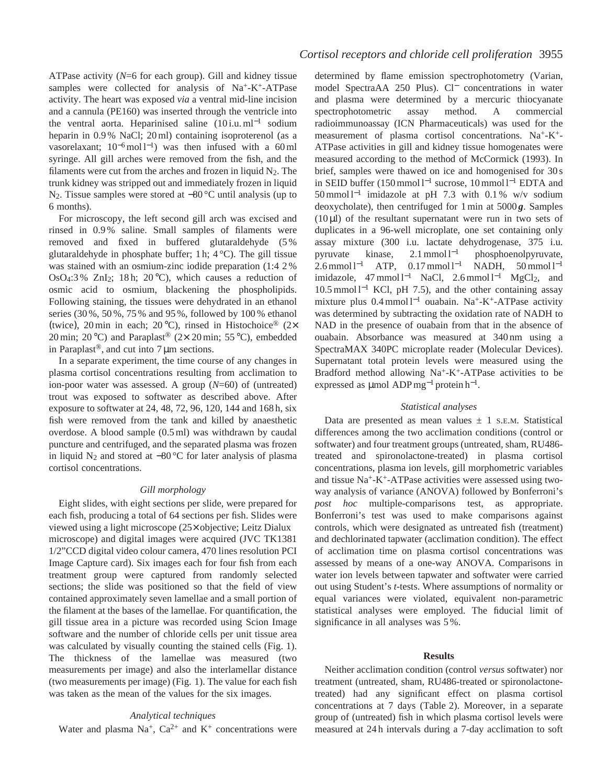ATPase activity (*N*=6 for each group). Gill and kidney tissue samples were collected for analysis of  $Na^+ - K^+$ -ATPase activity. The heart was exposed *via* a ventral mid-line incision and a cannula (PE160) was inserted through the ventricle into the ventral aorta. Heparinised saline (10 i.u. ml−<sup>1</sup> sodium heparin in 0.9 % NaCl; 20 ml) containing isoproterenol (as a vasorelaxant; 10<sup>−</sup>6mol l−1) was then infused with a 60 ml syringe. All gill arches were removed from the fish, and the filaments were cut from the arches and frozen in liquid  $N_2$ . The trunk kidney was stripped out and immediately frozen in liquid N2. Tissue samples were stored at −80 °C until analysis (up to 6 months).

For microscopy, the left second gill arch was excised and rinsed in 0.9 % saline. Small samples of filaments were removed and fixed in buffered glutaraldehyde (5 % glutaraldehyde in phosphate buffer; 1 h; 4 °C). The gill tissue was stained with an osmium-zinc iodide preparation (1:4 2 % OsO4:3% ZnI<sub>2</sub>; 18h; 20 $^{\circ}$ C), which causes a reduction of osmic acid to osmium, blackening the phospholipids. Following staining, the tissues were dehydrated in an ethanol series (30 %, 50 %, 75 % and 95 %, followed by 100 % ethanol (twice), 20 min in each; 20 °C), rinsed in Histochoice® (2× 20 min; 20 °C) and Paraplast® (2× 20 min; 55 °C), embedded in Paraplast<sup>®</sup>, and cut into  $7 \mu m$  sections.

In a separate experiment, the time course of any changes in plasma cortisol concentrations resulting from acclimation to ion-poor water was assessed. A group (*N*=60) of (untreated) trout was exposed to softwater as described above. After exposure to softwater at 24, 48, 72, 96, 120, 144 and 168 h, six fish were removed from the tank and killed by anaesthetic overdose. A blood sample (0.5 ml) was withdrawn by caudal puncture and centrifuged, and the separated plasma was frozen in liquid N<sub>2</sub> and stored at  $-80$  °C for later analysis of plasma cortisol concentrations.

# *Gill morphology*

Eight slides, with eight sections per slide, were prepared for each fish, producing a total of 64 sections per fish. Slides were viewed using a light microscope (25× objective; Leitz Dialux microscope) and digital images were acquired (JVC TK1381 1/2"CCD digital video colour camera, 470 lines resolution PCI Image Capture card). Six images each for four fish from each treatment group were captured from randomly selected sections; the slide was positioned so that the field of view contained approximately seven lamellae and a small portion of the filament at the bases of the lamellae. For quantification, the gill tissue area in a picture was recorded using Scion Image software and the number of chloride cells per unit tissue area was calculated by visually counting the stained cells (Fig. 1). The thickness of the lamellae was measured (two measurements per image) and also the interlamellar distance (two measurements per image) (Fig. 1). The value for each fish was taken as the mean of the values for the six images.

# *Analytical techniques*

Water and plasma Na<sup>+</sup>, Ca<sup>2+</sup> and K<sup>+</sup> concentrations were

determined by flame emission spectrophotometry (Varian, model SpectraAA 250 Plus). Cl<sup>−</sup> concentrations in water and plasma were determined by a mercuric thiocyanate spectrophotometric assay method. A commercial radioimmunoassay (ICN Pharmaceuticals) was used for the measurement of plasma cortisol concentrations. Na+-K+- ATPase activities in gill and kidney tissue homogenates were measured according to the method of McCormick (1993). In brief, samples were thawed on ice and homogenised for 30 s in SEID buffer (150 mmol l−<sup>1</sup> sucrose, 10 mmol l−<sup>1</sup> EDTA and 50 mmol l−<sup>1</sup> imidazole at pH 7.3 with 0.1 % w/v sodium deoxycholate), then centrifuged for 1 min at 5000 *g*. Samples  $(10 \mu l)$  of the resultant supernatant were run in two sets of duplicates in a 96-well microplate, one set containing only assay mixture (300 i.u. lactate dehydrogenase, 375 i.u. pyruvate kinase, 2.1 mmol l<sup>-1</sup> phosphoenolpyruvate, 2.6 mmol l<sup>-1</sup> ATP, 0.17 mmol l<sup>-1</sup> NADH, 50 mmol l<sup>-1</sup> imidazole, 47 mmol l−<sup>1</sup> NaCl, 2.6 mmol l−<sup>1</sup> MgCl2, and 10.5 mmol l−<sup>1</sup> KCl, pH 7.5), and the other containing assay mixture plus 0.4 mmol l−<sup>1</sup> ouabain. Na+-K+-ATPase activity was determined by subtracting the oxidation rate of NADH to NAD in the presence of ouabain from that in the absence of ouabain. Absorbance was measured at 340 nm using a SpectraMAX 340PC microplate reader (Molecular Devices). Supernatant total protein levels were measured using the Bradford method allowing  $Na^+ - K^+ - ATP$ ase activities to be expressed as  $\mu$ mol ADP mg<sup>-1</sup> protein h<sup>-1</sup>.

#### *Statistical analyses*

Data are presented as mean values  $\pm$  1 s.E.M. Statistical differences among the two acclimation conditions (control or softwater) and four treatment groups (untreated, sham, RU486 treated and spironolactone-treated) in plasma cortisol concentrations, plasma ion levels, gill morphometric variables and tissue Na+-K+-ATPase activities were assessed using twoway analysis of variance (ANOVA) followed by Bonferroni's *post hoc* multiple-comparisons test, as appropriate. Bonferroni's test was used to make comparisons against controls, which were designated as untreated fish (treatment) and dechlorinated tapwater (acclimation condition). The effect of acclimation time on plasma cortisol concentrations was assessed by means of a one-way ANOVA. Comparisons in water ion levels between tapwater and softwater were carried out using Student's *t*-tests. Where assumptions of normality or equal variances were violated, equivalent non-parametric statistical analyses were employed. The fiducial limit of significance in all analyses was 5 %.

#### **Results**

Neither acclimation condition (control *versus* softwater) nor treatment (untreated, sham, RU486-treated or spironolactonetreated) had any significant effect on plasma cortisol concentrations at 7 days (Table 2). Moreover, in a separate group of (untreated) fish in which plasma cortisol levels were measured at 24 h intervals during a 7-day acclimation to soft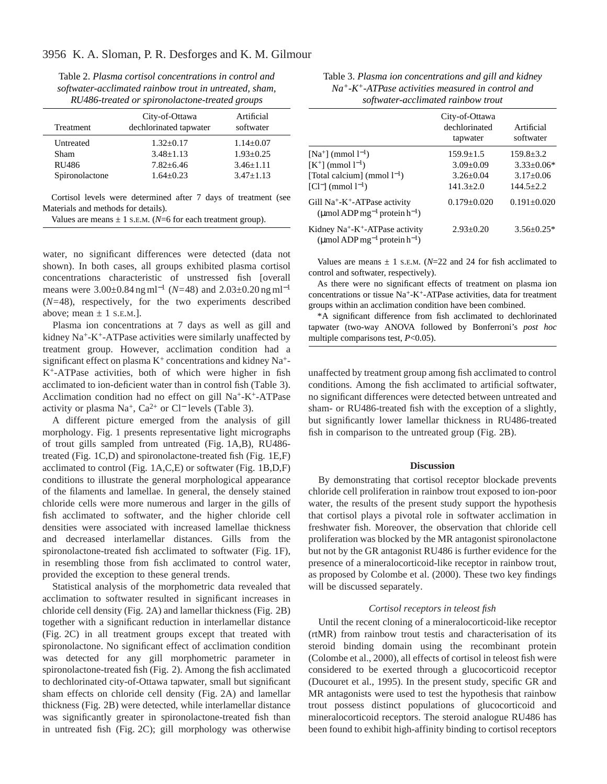Table 2. *Plasma cortisol concentrations in control and softwater-acclimated rainbow trout in untreated, sham, RU486-treated or spironolactone-treated groups*

| Treatment      | City-of-Ottawa<br>dechlorinated tapwater | Artificial<br>softwater |
|----------------|------------------------------------------|-------------------------|
| Untreated      | $1.32 + 0.17$                            | $1.14 + 0.07$           |
| Sham           | $3.48 \pm 1.13$                          | $1.93 + 0.25$           |
| <b>RU486</b>   | $7.82 + 6.46$                            | $3.46 \pm 1.11$         |
| Spironolactone | $1.64 + 0.23$                            | $3.47 + 1.13$           |

Cortisol levels were determined after 7 days of treatment (see Materials and methods for details).

Values are means  $\pm$  1 s.E.M. (*N*=6 for each treatment group).

water, no significant differences were detected (data not shown). In both cases, all groups exhibited plasma cortisol concentrations characteristic of unstressed fish [overall means were 3.00±0.84 ng ml−<sup>1</sup> (*N=*48) and 2.03±0.20 ng ml−<sup>1</sup> (*N=*48), respectively, for the two experiments described above; mean  $\pm$  1 s.e.m.].

Plasma ion concentrations at 7 days as well as gill and kidney Na<sup>+</sup>-K<sup>+</sup>-ATPase activities were similarly unaffected by treatment group. However, acclimation condition had a significant effect on plasma  $K^+$  concentrations and kidney Na<sup>+</sup>-K+-ATPase activities, both of which were higher in fish acclimated to ion-deficient water than in control fish (Table 3). Acclimation condition had no effect on gill Na+-K+-ATPase activity or plasma Na<sup>+</sup>, Ca<sup>2+</sup> or Cl<sup>−</sup> levels (Table 3).

A different picture emerged from the analysis of gill morphology. Fig. 1 presents representative light micrographs of trout gills sampled from untreated (Fig. 1A,B), RU486 treated (Fig. 1C,D) and spironolactone-treated fish (Fig. 1E,F) acclimated to control (Fig. 1A,C,E) or softwater (Fig. 1B,D,F) conditions to illustrate the general morphological appearance of the filaments and lamellae. In general, the densely stained chloride cells were more numerous and larger in the gills of fish acclimated to softwater, and the higher chloride cell densities were associated with increased lamellae thickness and decreased interlamellar distances. Gills from the spironolactone-treated fish acclimated to softwater (Fig. 1F), in resembling those from fish acclimated to control water, provided the exception to these general trends.

Statistical analysis of the morphometric data revealed that acclimation to softwater resulted in significant increases in chloride cell density (Fig. 2A) and lamellar thickness (Fig. 2B) together with a significant reduction in interlamellar distance (Fig. 2C) in all treatment groups except that treated with spironolactone. No significant effect of acclimation condition was detected for any gill morphometric parameter in spironolactone-treated fish (Fig. 2). Among the fish acclimated to dechlorinated city-of-Ottawa tapwater, small but significant sham effects on chloride cell density (Fig. 2A) and lamellar thickness (Fig. 2B) were detected, while interlamellar distance was significantly greater in spironolactone-treated fish than in untreated fish (Fig. 2C); gill morphology was otherwise

| Table 3. Plasma ion concentrations and gill and kidney            |
|-------------------------------------------------------------------|
| $Na^+$ -K <sup>+</sup> -ATPase activities measured in control and |
| softwater-acclimated rainbow trout                                |

|                                                                                                          | City-of-Ottawa<br>dechlorinated<br>tapwater | Artificial<br>softwater |
|----------------------------------------------------------------------------------------------------------|---------------------------------------------|-------------------------|
| $[Na^{+}]$ (mmol $l^{-1}$ )                                                                              | $159.9 \pm 1.5$                             | $159.8 \pm 3.2$         |
| $[K^+]$ (mmol $l^{-1}$ )                                                                                 | $3.09 \pm 0.09$                             | $3.33+0.06*$            |
| [Total calcium] (mmol $l^{-1}$ )                                                                         | $3.26 + 0.04$                               | $3.17 \pm 0.06$         |
| $[C1^-]$ (mmol $1^{-1}$ )                                                                                | $141.3 + 2.0$                               | $144.5 + 2.2$           |
| Gill $Na^+$ - $K^+$ -ATPase activity<br>(µmol ADP mg <sup>-1</sup> protein $h^{-1}$ )                    | $0.179 + 0.020$                             | $0.191 + 0.020$         |
| Kidney Na <sup>+</sup> -K <sup>+</sup> -ATPase activity<br>(µmol ADP mg <sup>-1</sup> protein $h^{-1}$ ) | $2.93+0.20$                                 | $3.56 + 0.25*$          |

Values are means  $\pm$  1 s.E.M. ( $N=22$  and 24 for fish acclimated to control and softwater, respectively).

As there were no significant effects of treatment on plasma ion concentrations or tissue Na+-K+-ATPase activities, data for treatment groups within an acclimation condition have been combined.

\*A significant difference from fish acclimated to dechlorinated tapwater (two-way ANOVA followed by Bonferroni's *post hoc* multiple comparisons test, *P*<0.05).

unaffected by treatment group among fish acclimated to control conditions. Among the fish acclimated to artificial softwater, no significant differences were detected between untreated and sham- or RU486-treated fish with the exception of a slightly, but significantly lower lamellar thickness in RU486-treated fish in comparison to the untreated group (Fig. 2B).

#### **Discussion**

By demonstrating that cortisol receptor blockade prevents chloride cell proliferation in rainbow trout exposed to ion-poor water, the results of the present study support the hypothesis that cortisol plays a pivotal role in softwater acclimation in freshwater fish. Moreover, the observation that chloride cell proliferation was blocked by the MR antagonist spironolactone but not by the GR antagonist RU486 is further evidence for the presence of a mineralocorticoid-like receptor in rainbow trout, as proposed by Colombe et al. (2000). These two key findings will be discussed separately.

# *Cortisol receptors in teleost fish*

Until the recent cloning of a mineralocorticoid-like receptor (rtMR) from rainbow trout testis and characterisation of its steroid binding domain using the recombinant protein (Colombe et al., 2000), all effects of cortisol in teleost fish were considered to be exerted through a glucocorticoid receptor (Ducouret et al., 1995). In the present study, specific GR and MR antagonists were used to test the hypothesis that rainbow trout possess distinct populations of glucocorticoid and mineralocorticoid receptors. The steroid analogue RU486 has been found to exhibit high-affinity binding to cortisol receptors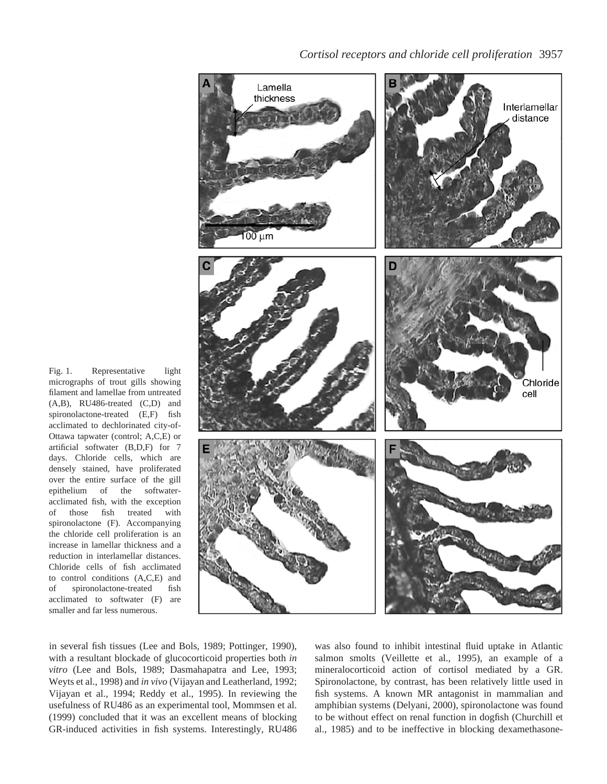

*Cortisol receptors and chloride cell proliferation* 3957

Fig. 1. Representative light micrographs of trout gills showing filament and lamellae from untreated (A,B), RU486-treated (C,D) and spironolactone-treated (E,F) fish acclimated to dechlorinated city-of-Ottawa tapwater (control; A,C,E) or artificial softwater (B,D,F) for 7 days. Chloride cells, which are densely stained, have proliferated over the entire surface of the gill epithelium of the softwateracclimated fish, with the exception of those fish treated with spironolactone (F). Accompanying the chloride cell proliferation is an increase in lamellar thickness and a reduction in interlamellar distances. Chloride cells of fish acclimated to control conditions (A,C,E) and of spironolactone-treated fish acclimated to softwater (F) are smaller and far less numerous.

in several fish tissues (Lee and Bols, 1989; Pottinger, 1990), with a resultant blockade of glucocorticoid properties both *in vitro* (Lee and Bols, 1989; Dasmahapatra and Lee, 1993; Weyts et al., 1998) and *in vivo* (Vijayan and Leatherland, 1992; Vijayan et al., 1994; Reddy et al., 1995). In reviewing the usefulness of RU486 as an experimental tool, Mommsen et al. (1999) concluded that it was an excellent means of blocking GR-induced activities in fish systems. Interestingly, RU486 was also found to inhibit intestinal fluid uptake in Atlantic salmon smolts (Veillette et al., 1995), an example of a mineralocorticoid action of cortisol mediated by a GR. Spironolactone, by contrast, has been relatively little used in fish systems. A known MR antagonist in mammalian and amphibian systems (Delyani, 2000), spironolactone was found to be without effect on renal function in dogfish (Churchill et al., 1985) and to be ineffective in blocking dexamethasone-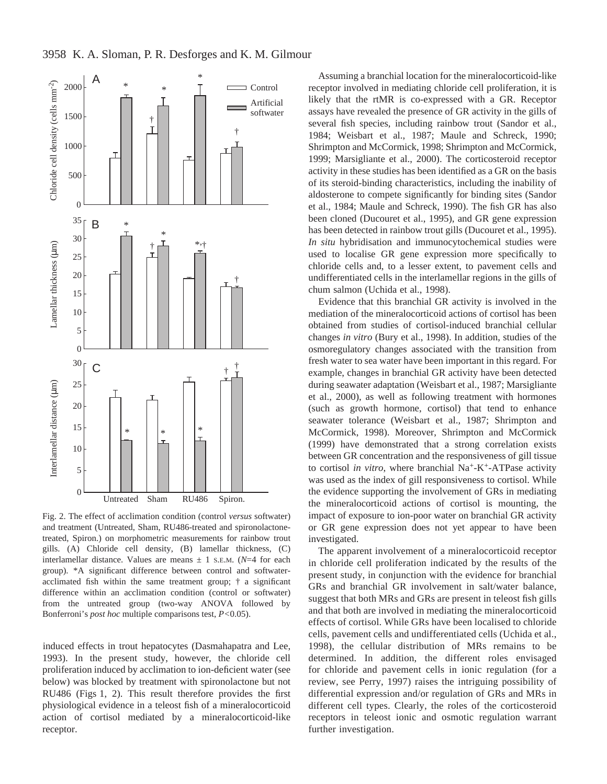



Fig. 2. The effect of acclimation condition (control *versus* softwater) and treatment (Untreated, Sham, RU486-treated and spironolactonetreated, Spiron.) on morphometric measurements for rainbow trout gills. (A) Chloride cell density, (B) lamellar thickness, (C) interlamellar distance. Values are means  $\pm$  1 s.E.M. ( $N=4$  for each group). \*A significant difference between control and softwateracclimated fish within the same treatment group; † a significant difference within an acclimation condition (control or softwater) from the untreated group (two-way ANOVA followed by Bonferroni's *post hoc* multiple comparisons test, *P<*0.05).

induced effects in trout hepatocytes (Dasmahapatra and Lee, 1993). In the present study, however, the chloride cell proliferation induced by acclimation to ion-deficient water (see below) was blocked by treatment with spironolactone but not RU486 (Figs 1, 2). This result therefore provides the first physiological evidence in a teleost fish of a mineralocorticoid action of cortisol mediated by a mineralocorticoid-like receptor.

Assuming a branchial location for the mineralocorticoid-like receptor involved in mediating chloride cell proliferation, it is likely that the rtMR is co-expressed with a GR. Receptor assays have revealed the presence of GR activity in the gills of several fish species, including rainbow trout (Sandor et al., 1984; Weisbart et al., 1987; Maule and Schreck, 1990; Shrimpton and McCormick, 1998; Shrimpton and McCormick, 1999; Marsigliante et al., 2000). The corticosteroid receptor activity in these studies has been identified as a GR on the basis of its steroid-binding characteristics, including the inability of aldosterone to compete significantly for binding sites (Sandor et al., 1984; Maule and Schreck, 1990). The fish GR has also been cloned (Ducouret et al., 1995), and GR gene expression has been detected in rainbow trout gills (Ducouret et al., 1995). *In situ* hybridisation and immunocytochemical studies were used to localise GR gene expression more specifically to chloride cells and, to a lesser extent, to pavement cells and undifferentiated cells in the interlamellar regions in the gills of chum salmon (Uchida et al., 1998).

Evidence that this branchial GR activity is involved in the mediation of the mineralocorticoid actions of cortisol has been obtained from studies of cortisol-induced branchial cellular changes *in vitro* (Bury et al., 1998). In addition, studies of the osmoregulatory changes associated with the transition from fresh water to sea water have been important in this regard. For example, changes in branchial GR activity have been detected during seawater adaptation (Weisbart et al., 1987; Marsigliante et al., 2000), as well as following treatment with hormones (such as growth hormone, cortisol) that tend to enhance seawater tolerance (Weisbart et al., 1987; Shrimpton and McCormick, 1998). Moreover, Shrimpton and McCormick (1999) have demonstrated that a strong correlation exists between GR concentration and the responsiveness of gill tissue to cortisol *in vitro*, where branchial Na<sup>+</sup>-K<sup>+</sup>-ATPase activity was used as the index of gill responsiveness to cortisol. While the evidence supporting the involvement of GRs in mediating the mineralocorticoid actions of cortisol is mounting, the impact of exposure to ion-poor water on branchial GR activity or GR gene expression does not yet appear to have been investigated.

The apparent involvement of a mineralocorticoid receptor in chloride cell proliferation indicated by the results of the present study, in conjunction with the evidence for branchial GRs and branchial GR involvement in salt/water balance, suggest that both MRs and GRs are present in teleost fish gills and that both are involved in mediating the mineralocorticoid effects of cortisol. While GRs have been localised to chloride cells, pavement cells and undifferentiated cells (Uchida et al., 1998), the cellular distribution of MRs remains to be determined. In addition, the different roles envisaged for chloride and pavement cells in ionic regulation (for a review, see Perry, 1997) raises the intriguing possibility of differential expression and/or regulation of GRs and MRs in different cell types. Clearly, the roles of the corticosteroid receptors in teleost ionic and osmotic regulation warrant further investigation.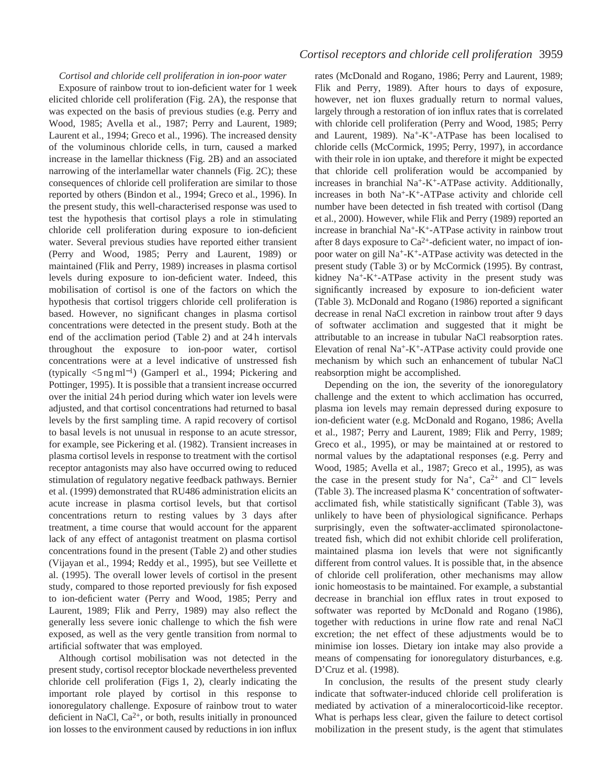# *Cortisol and chloride cell proliferation in ion-poor water*

Exposure of rainbow trout to ion-deficient water for 1 week elicited chloride cell proliferation (Fig. 2A), the response that was expected on the basis of previous studies (e.g. Perry and Wood, 1985; Avella et al., 1987; Perry and Laurent, 1989; Laurent et al., 1994; Greco et al., 1996). The increased density of the voluminous chloride cells, in turn, caused a marked increase in the lamellar thickness (Fig. 2B) and an associated narrowing of the interlamellar water channels (Fig. 2C); these consequences of chloride cell proliferation are similar to those reported by others (Bindon et al., 1994; Greco et al., 1996). In the present study, this well-characterised response was used to test the hypothesis that cortisol plays a role in stimulating chloride cell proliferation during exposure to ion-deficient water. Several previous studies have reported either transient (Perry and Wood, 1985; Perry and Laurent, 1989) or maintained (Flik and Perry, 1989) increases in plasma cortisol levels during exposure to ion-deficient water. Indeed, this mobilisation of cortisol is one of the factors on which the hypothesis that cortisol triggers chloride cell proliferation is based. However, no significant changes in plasma cortisol concentrations were detected in the present study. Both at the end of the acclimation period (Table 2) and at 24 h intervals throughout the exposure to ion-poor water, cortisol concentrations were at a level indicative of unstressed fish (typically <5 ng ml<sup>−</sup>1) (Gamperl et al., 1994; Pickering and Pottinger, 1995). It is possible that a transient increase occurred over the initial 24 h period during which water ion levels were adjusted, and that cortisol concentrations had returned to basal levels by the first sampling time. A rapid recovery of cortisol to basal levels is not unusual in response to an acute stressor, for example, see Pickering et al. (1982). Transient increases in plasma cortisol levels in response to treatment with the cortisol receptor antagonists may also have occurred owing to reduced stimulation of regulatory negative feedback pathways. Bernier et al. (1999) demonstrated that RU486 administration elicits an acute increase in plasma cortisol levels, but that cortisol concentrations return to resting values by 3 days after treatment, a time course that would account for the apparent lack of any effect of antagonist treatment on plasma cortisol concentrations found in the present (Table 2) and other studies (Vijayan et al., 1994; Reddy et al., 1995), but see Veillette et al. (1995). The overall lower levels of cortisol in the present study, compared to those reported previously for fish exposed to ion-deficient water (Perry and Wood, 1985; Perry and Laurent, 1989; Flik and Perry, 1989) may also reflect the generally less severe ionic challenge to which the fish were exposed, as well as the very gentle transition from normal to artificial softwater that was employed.

Although cortisol mobilisation was not detected in the present study, cortisol receptor blockade nevertheless prevented chloride cell proliferation (Figs 1, 2), clearly indicating the important role played by cortisol in this response to ionoregulatory challenge. Exposure of rainbow trout to water deficient in NaCl,  $Ca^{2+}$ , or both, results initially in pronounced ion losses to the environment caused by reductions in ion influx

rates (McDonald and Rogano, 1986; Perry and Laurent, 1989; Flik and Perry, 1989). After hours to days of exposure, however, net ion fluxes gradually return to normal values, largely through a restoration of ion influx rates that is correlated with chloride cell proliferation (Perry and Wood, 1985; Perry and Laurent, 1989).  $Na^+ - K^+ - ATP$ ase has been localised to chloride cells (McCormick, 1995; Perry, 1997), in accordance with their role in ion uptake, and therefore it might be expected that chloride cell proliferation would be accompanied by increases in branchial  $Na^+$ -K<sup>+</sup>-ATPase activity. Additionally, increases in both Na+-K+-ATPase activity and chloride cell number have been detected in fish treated with cortisol (Dang et al., 2000). However, while Flik and Perry (1989) reported an increase in branchial Na+-K+-ATPase activity in rainbow trout after 8 days exposure to  $Ca^{2+}$ -deficient water, no impact of ionpoor water on gill Na+-K+-ATPase activity was detected in the present study (Table 3) or by McCormick (1995). By contrast, kidney Na<sup>+</sup>-K<sup>+</sup>-ATPase activity in the present study was significantly increased by exposure to ion-deficient water (Table 3). McDonald and Rogano (1986) reported a significant decrease in renal NaCl excretion in rainbow trout after 9 days of softwater acclimation and suggested that it might be attributable to an increase in tubular NaCl reabsorption rates. Elevation of renal  $Na^+K^+ATP$ ase activity could provide one mechanism by which such an enhancement of tubular NaCl reabsorption might be accomplished.

Depending on the ion, the severity of the ionoregulatory challenge and the extent to which acclimation has occurred, plasma ion levels may remain depressed during exposure to ion-deficient water (e.g. McDonald and Rogano, 1986; Avella et al., 1987; Perry and Laurent, 1989; Flik and Perry, 1989; Greco et al., 1995), or may be maintained at or restored to normal values by the adaptational responses (e.g. Perry and Wood, 1985; Avella et al., 1987; Greco et al., 1995), as was the case in the present study for Na+, Ca2+ and Cl<sup>−</sup> levels (Table 3). The increased plasma  $K^+$  concentration of softwateracclimated fish, while statistically significant (Table 3), was unlikely to have been of physiological significance. Perhaps surprisingly, even the softwater-acclimated spironolactonetreated fish, which did not exhibit chloride cell proliferation, maintained plasma ion levels that were not significantly different from control values. It is possible that, in the absence of chloride cell proliferation, other mechanisms may allow ionic homeostasis to be maintained. For example, a substantial decrease in branchial ion efflux rates in trout exposed to softwater was reported by McDonald and Rogano (1986), together with reductions in urine flow rate and renal NaCl excretion; the net effect of these adjustments would be to minimise ion losses. Dietary ion intake may also provide a means of compensating for ionoregulatory disturbances, e.g. D'Cruz et al. (1998).

In conclusion, the results of the present study clearly indicate that softwater-induced chloride cell proliferation is mediated by activation of a mineralocorticoid-like receptor. What is perhaps less clear, given the failure to detect cortisol mobilization in the present study, is the agent that stimulates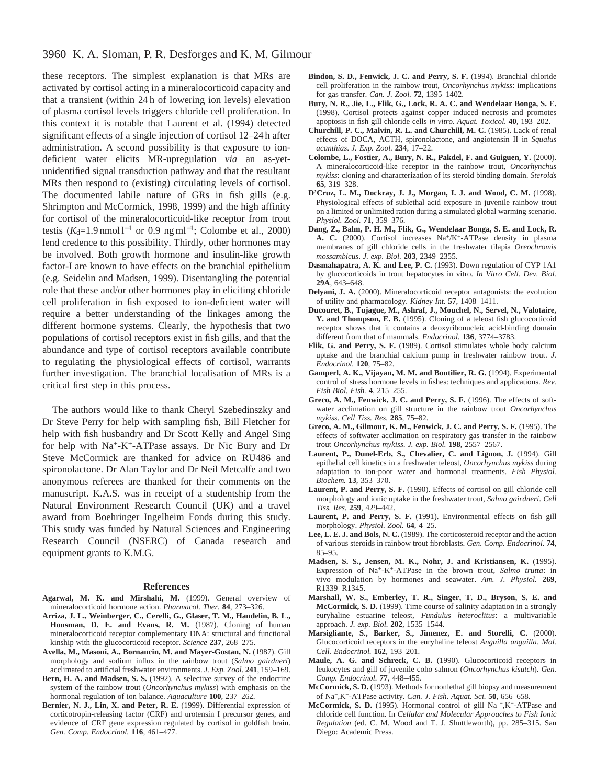# 3960 K. A. Sloman, P. R. Desforges and K. M. Gilmour

these receptors. The simplest explanation is that MRs are activated by cortisol acting in a mineralocorticoid capacity and that a transient (within 24 h of lowering ion levels) elevation of plasma cortisol levels triggers chloride cell proliferation. In this context it is notable that Laurent et al. (1994) detected significant effects of a single injection of cortisol 12–24 h after administration. A second possibility is that exposure to iondeficient water elicits MR-upregulation *via* an as-yetunidentified signal transduction pathway and that the resultant MRs then respond to (existing) circulating levels of cortisol. The documented labile nature of GRs in fish gills (e.g. Shrimpton and McCormick, 1998, 1999) and the high affinity for cortisol of the mineralocorticoid-like receptor from trout testis ( $K_d$ =1.9 nmol l<sup>-1</sup> or 0.9 ng ml<sup>-1</sup>; Colombe et al., 2000) lend credence to this possibility. Thirdly, other hormones may be involved. Both growth hormone and insulin-like growth factor-I are known to have effects on the branchial epithelium (e.g. Seidelin and Madsen, 1999). Disentangling the potential role that these and/or other hormones play in eliciting chloride cell proliferation in fish exposed to ion-deficient water will require a better understanding of the linkages among the different hormone systems. Clearly, the hypothesis that two populations of cortisol receptors exist in fish gills, and that the abundance and type of cortisol receptors available contribute to regulating the physiological effects of cortisol, warrants further investigation. The branchial localisation of MRs is a critical first step in this process.

The authors would like to thank Cheryl Szebedinszky and Dr Steve Perry for help with sampling fish, Bill Fletcher for help with fish husbandry and Dr Scott Kelly and Angel Sing for help with Na+-K+-ATPase assays. Dr Nic Bury and Dr Steve McCormick are thanked for advice on RU486 and spironolactone. Dr Alan Taylor and Dr Neil Metcalfe and two anonymous referees are thanked for their comments on the manuscript. K.A.S. was in receipt of a studentship from the Natural Environment Research Council (UK) and a travel award from Boehringer Ingelheim Fonds during this study. This study was funded by Natural Sciences and Engineering Research Council (NSERC) of Canada research and equipment grants to K.M.G.

#### **References**

- **Agarwal, M. K. and Mirshahi, M.** (1999). General overview of mineralocorticoid hormone action. *Pharmacol. Ther.* **84**, 273–326.
- **Arriza, J. L., Weinberger, C., Cerelli, G., Glaser, T. M., Handelin, B. L., Housman, D. E. and Evans, R. M.** (1987). Cloning of human mineralocorticoid receptor complementary DNA: structural and functional kinship with the glucocorticoid receptor. *Science* **237**, 268–275.
- **Avella, M., Masoni, A., Bornancin, M. and Mayer-Gostan, N.** (1987). Gill morphology and sodium influx in the rainbow trout (*Salmo gairdneri*) acclimated to artificial freshwater environments. *J. Exp. Zool.* **241**, 159–169.
- Bern, H. A. and Madsen, S. S. (1992). A selective survey of the endocrine system of the rainbow trout (*Oncorhynchus mykiss*) with emphasis on the hormonal regulation of ion balance. *Aquaculture* **100**, 237–262.
- **Bernier, N. J., Lin, X. and Peter, R. E.** (1999). Differential expression of corticotropin-releasing factor (CRF) and urotensin I precursor genes, and evidence of CRF gene expression regulated by cortisol in goldfish brain. *Gen. Comp. Endocrinol.* **116**, 461–477.
- **Bindon, S. D., Fenwick, J. C. and Perry, S. F.** (1994). Branchial chloride cell proliferation in the rainbow trout, *Oncorhynchus mykiss*: implications for gas transfer. *Can. J. Zool.* **72**, 1395–1402.
- **Bury, N. R., Jie, L., Flik, G., Lock, R. A. C. and Wendelaar Bonga, S. E.** (1998). Cortisol protects against copper induced necrosis and promotes apoptosis in fish gill chloride cells *in vitro*. *Aquat. Toxicol.* **40**, 193–202.
- **Churchill, P. C., Malvin, R. L. and Churchill, M. C.** (1985). Lack of renal effects of DOCA, ACTH, spironolactone, and angiotensin II in *Squalus acanthias*. *J. Exp. Zool.* **234**, 17–22.
- **Colombe, L., Fostier, A., Bury, N. R., Pakdel, F. and Guiguen, Y.** (2000). A mineralocorticoid-like receptor in the rainbow trout, *Oncorhynchus mykiss*: cloning and characterization of its steroid binding domain. *Steroids* **65**, 319–328.
- **D'Cruz, L. M., Dockray, J. J., Morgan, I. J. and Wood, C. M.** (1998). Physiological effects of sublethal acid exposure in juvenile rainbow trout on a limited or unlimited ration during a simulated global warming scenario. *Physiol. Zool.* **71**, 359–376.
- **Dang, Z., Balm, P. H. M., Flik, G., Wendelaar Bonga, S. E. and Lock, R.** A. C. (2000). Cortisol increases Na<sup>+</sup>/K<sup>+</sup>-ATPase density in plasma membranes of gill chloride cells in the freshwater tilapia *Oreochromis mossambicus*. *J. exp. Biol.* **203**, 2349–2355.
- **Dasmahapatra, A. K. and Lee, P. C.** (1993). Down regulation of CYP 1A1 by glucocorticoids in trout hepatocytes in vitro. *In Vitro Cell. Dev. Biol.* **29A**, 643–648.
- **Delyani, J. A.** (2000). Mineralocorticoid receptor antagonists: the evolution of utility and pharmacology. *Kidney Int.* **57**, 1408–1411.
- **Ducouret, B., Tujague, M., Ashraf, J., Mouchel, N., Servel, N., Valotaire, Y. and Thompson, E. B.** (1995). Cloning of a teleost fish glucocorticoid receptor shows that it contains a deoxyribonucleic acid-binding domain different from that of mammals. *Endocrinol.* **136**, 3774–3783.
- Flik, G. and Perry, S. F. (1989). Cortisol stimulates whole body calcium uptake and the branchial calcium pump in freshwater rainbow trout. *J. Endocrinol.* **120**, 75–82.
- **Gamperl, A. K., Vijayan, M. M. and Boutilier, R. G.** (1994). Experimental control of stress hormone levels in fishes: techniques and applications. *Rev. Fish Biol. Fish.* **4**, 215–255.
- **Greco, A. M., Fenwick, J. C. and Perry, S. F.** (1996). The effects of softwater acclimation on gill structure in the rainbow trout *Oncorhynchus mykiss*. *Cell Tiss. Res.* **285**, 75–82.
- **Greco, A. M., Gilmour, K. M., Fenwick, J. C. and Perry, S. F.** (1995). The effects of softwater acclimation on respiratory gas transfer in the rainbow trout *Oncorhynchus mykiss*. *J. exp. Biol.* **198**, 2557–2567.
- Laurent, P., Dunel-Erb, S., Chevalier, C. and Lignon, J. (1994). Gill epithelial cell kinetics in a freshwater teleost, *Oncorhynchus mykiss* during adaptation to ion-poor water and hormonal treatments. *Fish Physiol. Biochem.* **13**, 353–370.
- **Laurent, P. and Perry, S. F.** (1990). Effects of cortisol on gill chloride cell morphology and ionic uptake in the freshwater trout, *Salmo gairdneri*. *Cell Tiss. Res.* **259**, 429–442.
- **Laurent, P. and Perry, S. F.** (1991). Environmental effects on fish gill morphology. *Physiol. Zool.* **64**, 4–25.
- **Lee, L. E. J. and Bols, N. C.** (1989). The corticosteroid receptor and the action of various steroids in rainbow trout fibroblasts. *Gen. Comp. Endocrinol.* **74**, 85–95.
- **Madsen, S. S., Jensen, M. K., Nohr, J. and Kristiansen, K.** (1995). Expression of Na+-K+-ATPase in the brown trout, *Salmo trutta*: in vivo modulation by hormones and seawater. *Am. J. Physiol.* **269**, R1339–R1345.
- **Marshall, W. S., Emberley, T. R., Singer, T. D., Bryson, S. E. and McCormick, S. D.** (1999). Time course of salinity adaptation in a strongly euryhaline estuarine teleost, *Fundulus heteroclitus*: a multivariable approach. *J. exp. Biol.* **202**, 1535–1544.
- **Marsigliante, S., Barker, S., Jimenez, E. and Storelli, C.** (2000). Glucocorticoid receptors in the euryhaline teleost *Anguilla anguilla*. *Mol. Cell. Endocrinol.* **162**, 193–201.
- **Maule, A. G. and Schreck, C. B.** (1990). Glucocorticoid receptors in leukocytes and gill of juvenile coho salmon (*Oncorhynchus kisutch*). *Gen. Comp. Endocrinol.* **77**, 448–455.
- **McCormick, S. D.** (1993). Methods for nonlethal gill biopsy and measurement of Na+,K+-ATPase activity. *Can. J. Fish. Aquat. Sci.* **50**, 656–658.
- **McCormick, S. D.** (1995). Hormonal control of gill Na +,K+-ATPase and chloride cell function. In *Cellular and Molecular Approaches to Fish Ionic Regulation* (ed. C. M. Wood and T. J. Shuttleworth), pp. 285–315. San Diego: Academic Press.